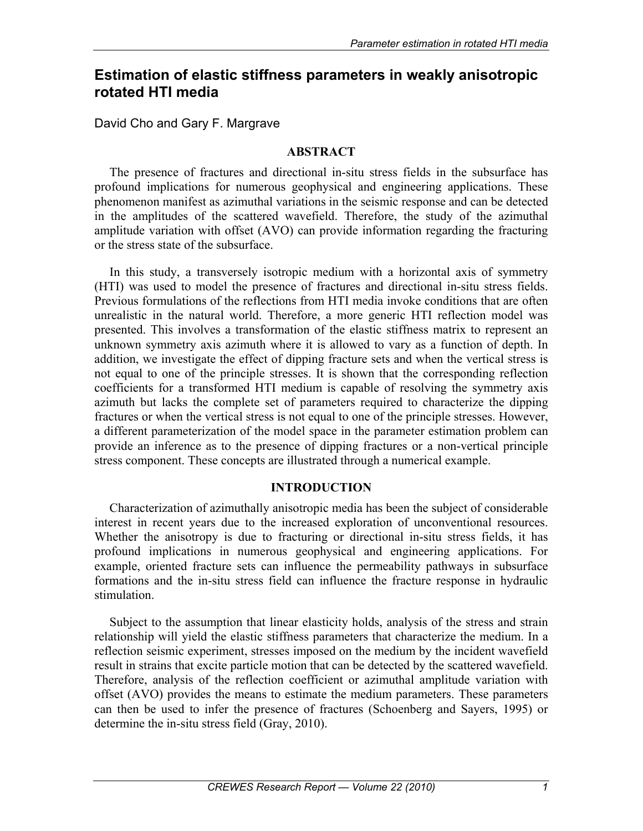# **Estimation of elastic stiffness parameters in weakly anisotropic rotated HTI media**

David Cho and Gary F. Margrave

#### **ABSTRACT**

The presence of fractures and directional in-situ stress fields in the subsurface has profound implications for numerous geophysical and engineering applications. These phenomenon manifest as azimuthal variations in the seismic response and can be detected in the amplitudes of the scattered wavefield. Therefore, the study of the azimuthal amplitude variation with offset (AVO) can provide information regarding the fracturing or the stress state of the subsurface.

In this study, a transversely isotropic medium with a horizontal axis of symmetry (HTI) was used to model the presence of fractures and directional in-situ stress fields. Previous formulations of the reflections from HTI media invoke conditions that are often unrealistic in the natural world. Therefore, a more generic HTI reflection model was presented. This involves a transformation of the elastic stiffness matrix to represent an unknown symmetry axis azimuth where it is allowed to vary as a function of depth. In addition, we investigate the effect of dipping fracture sets and when the vertical stress is not equal to one of the principle stresses. It is shown that the corresponding reflection coefficients for a transformed HTI medium is capable of resolving the symmetry axis azimuth but lacks the complete set of parameters required to characterize the dipping fractures or when the vertical stress is not equal to one of the principle stresses. However, a different parameterization of the model space in the parameter estimation problem can provide an inference as to the presence of dipping fractures or a non-vertical principle stress component. These concepts are illustrated through a numerical example.

### **INTRODUCTION**

Characterization of azimuthally anisotropic media has been the subject of considerable interest in recent years due to the increased exploration of unconventional resources. Whether the anisotropy is due to fracturing or directional in-situ stress fields, it has profound implications in numerous geophysical and engineering applications. For example, oriented fracture sets can influence the permeability pathways in subsurface formations and the in-situ stress field can influence the fracture response in hydraulic stimulation.

Subject to the assumption that linear elasticity holds, analysis of the stress and strain relationship will yield the elastic stiffness parameters that characterize the medium. In a reflection seismic experiment, stresses imposed on the medium by the incident wavefield result in strains that excite particle motion that can be detected by the scattered wavefield. Therefore, analysis of the reflection coefficient or azimuthal amplitude variation with offset (AVO) provides the means to estimate the medium parameters. These parameters can then be used to infer the presence of fractures (Schoenberg and Sayers, 1995) or determine the in-situ stress field (Gray, 2010).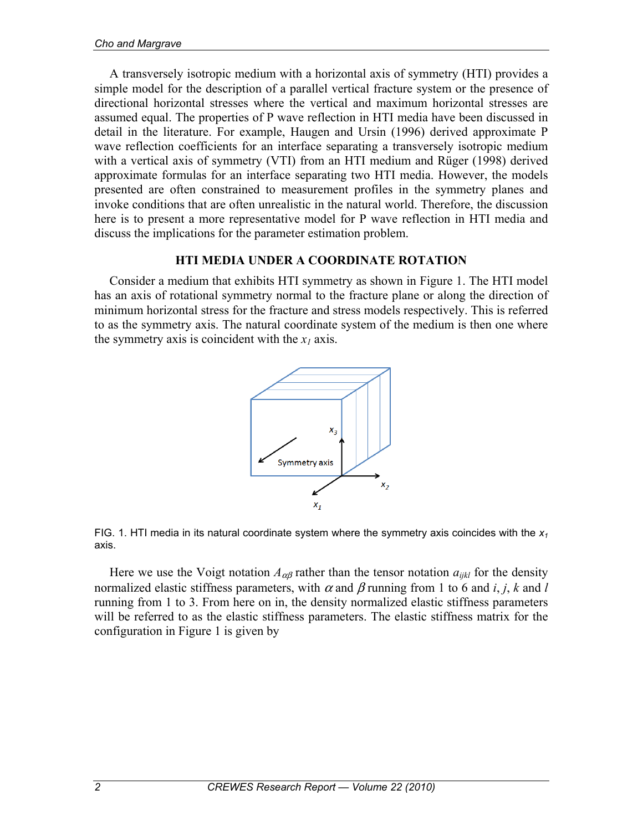A transversely isotropic medium with a horizontal axis of symmetry (HTI) provides a simple model for the description of a parallel vertical fracture system or the presence of directional horizontal stresses where the vertical and maximum horizontal stresses are assumed equal. The properties of P wave reflection in HTI media have been discussed in detail in the literature. For example, Haugen and Ursin (1996) derived approximate P wave reflection coefficients for an interface separating a transversely isotropic medium with a vertical axis of symmetry (VTI) from an HTI medium and Rüger (1998) derived approximate formulas for an interface separating two HTI media. However, the models presented are often constrained to measurement profiles in the symmetry planes and invoke conditions that are often unrealistic in the natural world. Therefore, the discussion here is to present a more representative model for P wave reflection in HTI media and discuss the implications for the parameter estimation problem.

### **HTI MEDIA UNDER A COORDINATE ROTATION**

Consider a medium that exhibits HTI symmetry as shown in Figure 1. The HTI model has an axis of rotational symmetry normal to the fracture plane or along the direction of minimum horizontal stress for the fracture and stress models respectively. This is referred to as the symmetry axis. The natural coordinate system of the medium is then one where the symmetry axis is coincident with the  $x_1$  axis.





Here we use the Voigt notation  $A_{\alpha\beta}$  rather than the tensor notation  $a_{ijkl}$  for the density normalized elastic stiffness parameters, with  $\alpha$  and  $\beta$  running from 1 to 6 and *i*, *j*, *k* and *l* running from 1 to 3. From here on in, the density normalized elastic stiffness parameters will be referred to as the elastic stiffness parameters. The elastic stiffness matrix for the configuration in Figure 1 is given by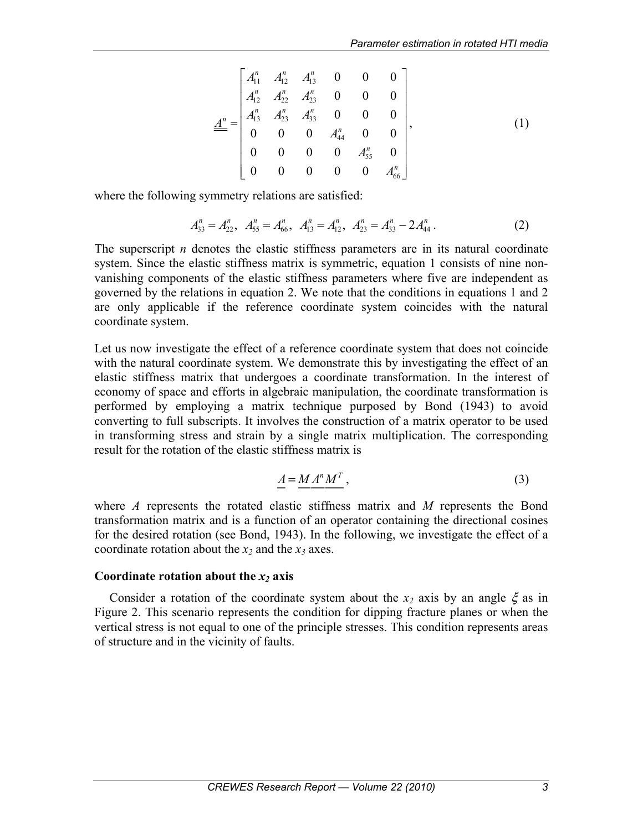$$
\underline{A}^n = \begin{bmatrix} A_{11}^n & A_{12}^n & A_{13}^n & 0 & 0 & 0 \\ A_{12}^n & A_{22}^n & A_{23}^n & 0 & 0 & 0 \\ A_{13}^n & A_{23}^n & A_{33}^n & 0 & 0 & 0 \\ 0 & 0 & 0 & A_{44}^n & 0 & 0 \\ 0 & 0 & 0 & 0 & A_{55}^n & 0 \\ 0 & 0 & 0 & 0 & 0 & A_{66}^n \end{bmatrix},
$$
(1)

where the following symmetry relations are satisfied:

$$
A_{33}^n = A_{22}^n, \quad A_{55}^n = A_{66}^n, \quad A_{13}^n = A_{12}^n, \quad A_{23}^n = A_{33}^n - 2A_{44}^n. \tag{2}
$$

The superscript *n* denotes the elastic stiffness parameters are in its natural coordinate system. Since the elastic stiffness matrix is symmetric, equation 1 consists of nine nonvanishing components of the elastic stiffness parameters where five are independent as governed by the relations in equation 2. We note that the conditions in equations 1 and 2 are only applicable if the reference coordinate system coincides with the natural coordinate system.

Let us now investigate the effect of a reference coordinate system that does not coincide with the natural coordinate system. We demonstrate this by investigating the effect of an elastic stiffness matrix that undergoes a coordinate transformation. In the interest of economy of space and efforts in algebraic manipulation, the coordinate transformation is performed by employing a matrix technique purposed by Bond (1943) to avoid converting to full subscripts. It involves the construction of a matrix operator to be used in transforming stress and strain by a single matrix multiplication. The corresponding result for the rotation of the elastic stiffness matrix is

$$
\underline{A} = \underline{M} \underline{A}^n \underline{M}^T, \tag{3}
$$

where *A* represents the rotated elastic stiffness matrix and *M* represents the Bond transformation matrix and is a function of an operator containing the directional cosines for the desired rotation (see Bond, 1943). In the following, we investigate the effect of a coordinate rotation about the  $x_2$  and the  $x_3$  axes.

#### **Coordinate rotation about the** *x2* **axis**

Consider a rotation of the coordinate system about the  $x_2$  axis by an angle  $\xi$  as in Figure 2. This scenario represents the condition for dipping fracture planes or when the vertical stress is not equal to one of the principle stresses. This condition represents areas of structure and in the vicinity of faults.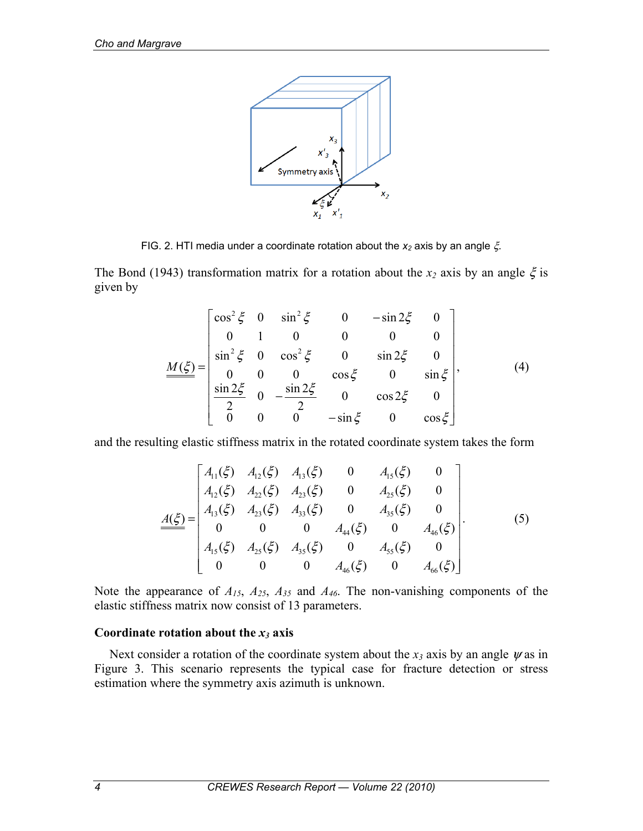

FIG. 2. HTI media under a coordinate rotation about the *x*<sub>2</sub> axis by an angle  $\xi$ .

The Bond (1943) transformation matrix for a rotation about the  $x_2$  axis by an angle  $\xi$  is given by

$$
\underline{M(\xi)} = \begin{bmatrix} \cos^2 \xi & 0 & \sin^2 \xi & 0 & -\sin 2\xi & 0 \\ 0 & 1 & 0 & 0 & 0 & 0 \\ \sin^2 \xi & 0 & \cos^2 \xi & 0 & \sin 2\xi & 0 \\ 0 & 0 & 0 & \cos \xi & 0 & \sin \xi \\ \frac{\sin 2\xi}{2} & 0 & -\frac{\sin 2\xi}{2} & 0 & \cos 2\xi & 0 \\ 0 & 0 & 0 & -\sin \xi & 0 & \cos \xi \end{bmatrix},
$$
(4)

and the resulting elastic stiffness matrix in the rotated coordinate system takes the form

$$
\underline{A(\xi)} = \begin{bmatrix} A_{11}(\xi) & A_{12}(\xi) & A_{13}(\xi) & 0 & A_{15}(\xi) & 0 \\ A_{12}(\xi) & A_{22}(\xi) & A_{23}(\xi) & 0 & A_{25}(\xi) & 0 \\ A_{13}(\xi) & A_{23}(\xi) & A_{33}(\xi) & 0 & A_{35}(\xi) & 0 \\ 0 & 0 & 0 & A_{44}(\xi) & 0 & A_{46}(\xi) \\ A_{15}(\xi) & A_{25}(\xi) & A_{35}(\xi) & 0 & A_{55}(\xi) & 0 \\ 0 & 0 & 0 & A_{46}(\xi) & 0 & A_{66}(\xi) \end{bmatrix} . \tag{5}
$$

Note the appearance of *A15*, *A25*, *A35* and *A46*. The non-vanishing components of the elastic stiffness matrix now consist of 13 parameters.

#### **Coordinate rotation about the** *x3* **axis**

Next consider a rotation of the coordinate system about the  $x_3$  axis by an angle  $\psi$  as in Figure 3. This scenario represents the typical case for fracture detection or stress estimation where the symmetry axis azimuth is unknown.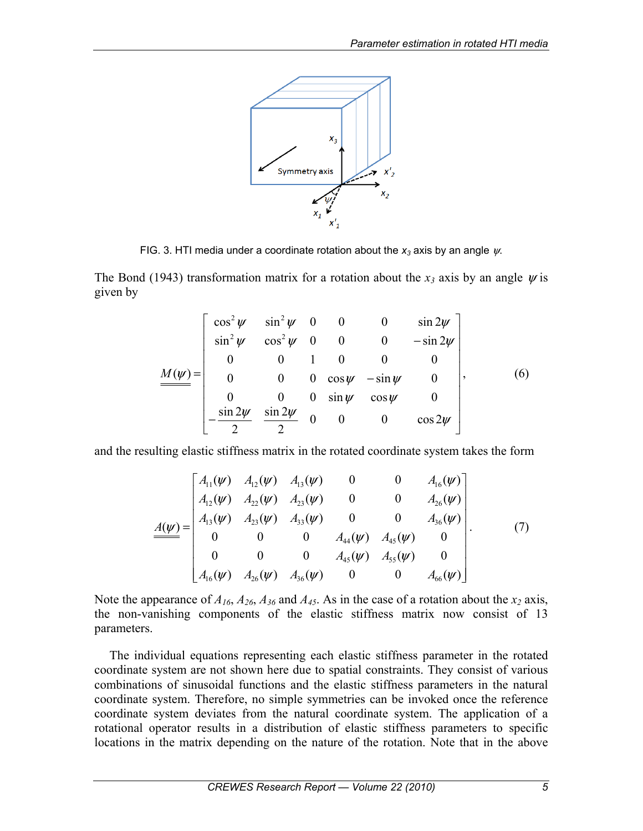

FIG. 3. HTI media under a coordinate rotation about the  $x_3$  axis by an angle  $\psi$ .

The Bond (1943) transformation matrix for a rotation about the  $x_3$  axis by an angle  $\psi$  is given by

$$
\underline{M(\psi)} = \begin{bmatrix} \cos^2 \psi & \sin^2 \psi & 0 & 0 & 0 & \sin 2\psi \\ \sin^2 \psi & \cos^2 \psi & 0 & 0 & 0 & -\sin 2\psi \\ 0 & 0 & 1 & 0 & 0 & 0 \\ 0 & 0 & 0 & \cos \psi & -\sin \psi & 0 \\ 0 & 0 & 0 & \sin \psi & \cos \psi & 0 \\ -\frac{\sin 2\psi}{2} & \frac{\sin 2\psi}{2} & 0 & 0 & 0 & \cos 2\psi \end{bmatrix},
$$
(6)

and the resulting elastic stiffness matrix in the rotated coordinate system takes the form

$$
\underline{A(\psi)} = \begin{bmatrix} A_{11}(\psi) & A_{12}(\psi) & A_{13}(\psi) & 0 & 0 & A_{16}(\psi) \\ A_{12}(\psi) & A_{22}(\psi) & A_{23}(\psi) & 0 & 0 & A_{26}(\psi) \\ A_{13}(\psi) & A_{23}(\psi) & A_{33}(\psi) & 0 & 0 & A_{36}(\psi) \\ 0 & 0 & 0 & A_{44}(\psi) & A_{45}(\psi) & 0 \\ 0 & 0 & 0 & A_{45}(\psi) & A_{55}(\psi) & 0 \\ A_{16}(\psi) & A_{26}(\psi) & A_{36}(\psi) & 0 & 0 & A_{66}(\psi) \end{bmatrix} .
$$
 (7)

Note the appearance of  $A_{16}$ ,  $A_{26}$ ,  $A_{36}$  and  $A_{45}$ . As in the case of a rotation about the  $x_2$  axis, the non-vanishing components of the elastic stiffness matrix now consist of 13 parameters.

The individual equations representing each elastic stiffness parameter in the rotated coordinate system are not shown here due to spatial constraints. They consist of various combinations of sinusoidal functions and the elastic stiffness parameters in the natural coordinate system. Therefore, no simple symmetries can be invoked once the reference coordinate system deviates from the natural coordinate system. The application of a rotational operator results in a distribution of elastic stiffness parameters to specific locations in the matrix depending on the nature of the rotation. Note that in the above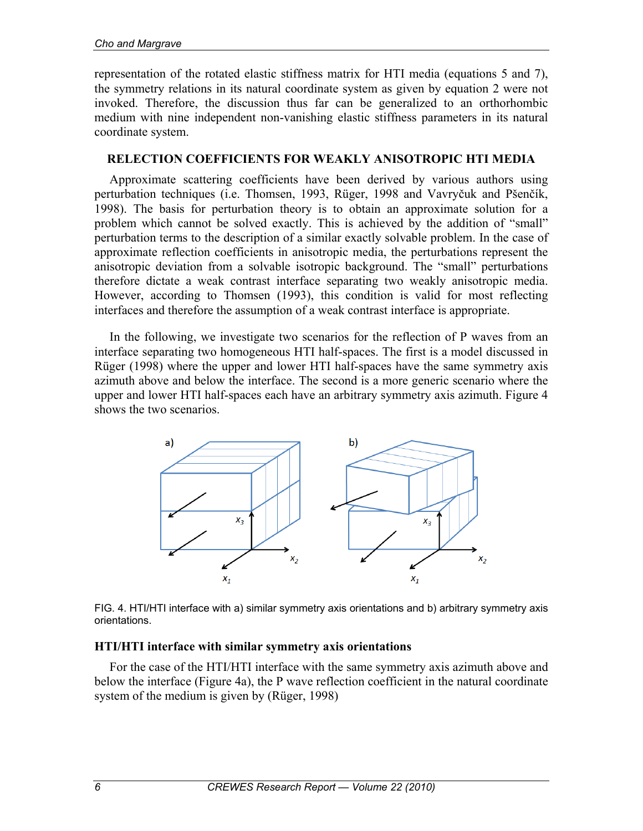representation of the rotated elastic stiffness matrix for HTI media (equations 5 and 7), the symmetry relations in its natural coordinate system as given by equation 2 were not invoked. Therefore, the discussion thus far can be generalized to an orthorhombic medium with nine independent non-vanishing elastic stiffness parameters in its natural coordinate system.

#### **RELECTION COEFFICIENTS FOR WEAKLY ANISOTROPIC HTI MEDIA**

Approximate scattering coefficients have been derived by various authors using perturbation techniques (i.e. Thomsen, 1993, Rüger, 1998 and Vavryčuk and Pšenčík, 1998). The basis for perturbation theory is to obtain an approximate solution for a problem which cannot be solved exactly. This is achieved by the addition of "small" perturbation terms to the description of a similar exactly solvable problem. In the case of approximate reflection coefficients in anisotropic media, the perturbations represent the anisotropic deviation from a solvable isotropic background. The "small" perturbations therefore dictate a weak contrast interface separating two weakly anisotropic media. However, according to Thomsen (1993), this condition is valid for most reflecting interfaces and therefore the assumption of a weak contrast interface is appropriate.

In the following, we investigate two scenarios for the reflection of P waves from an interface separating two homogeneous HTI half-spaces. The first is a model discussed in Rüger (1998) where the upper and lower HTI half-spaces have the same symmetry axis azimuth above and below the interface. The second is a more generic scenario where the upper and lower HTI half-spaces each have an arbitrary symmetry axis azimuth. Figure 4 shows the two scenarios.



FIG. 4. HTI/HTI interface with a) similar symmetry axis orientations and b) arbitrary symmetry axis orientations.

### **HTI/HTI interface with similar symmetry axis orientations**

For the case of the HTI/HTI interface with the same symmetry axis azimuth above and below the interface (Figure 4a), the P wave reflection coefficient in the natural coordinate system of the medium is given by (Rüger, 1998)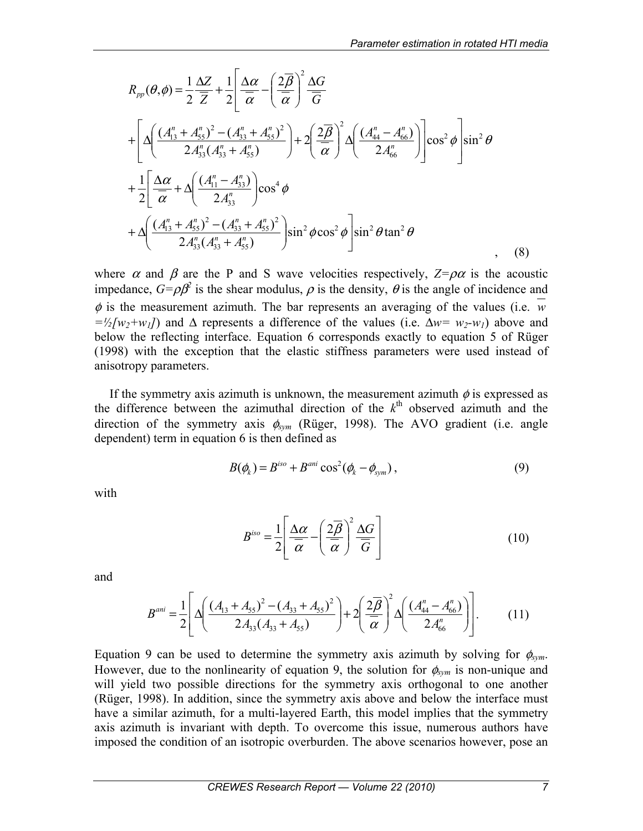$$
R_{pp}(\theta,\phi) = \frac{1}{2} \frac{\Delta Z}{\overline{Z}} + \frac{1}{2} \left[ \frac{\Delta \alpha}{\overline{\alpha}} - \left( \frac{2\overline{\beta}}{\overline{\alpha}} \right)^2 \frac{\Delta G}{\overline{G}} \right]
$$
  
+ 
$$
\left[ \Delta \left( \frac{(A_{13}^n + A_{55}^n)^2 - (A_{33}^n + A_{55}^n)^2}{2A_{33}^n (A_{33}^n + A_{55}^n)} \right) + 2 \left( \frac{2\overline{\beta}}{\overline{\alpha}} \right)^2 \Delta \left( \frac{(A_{44}^n - A_{66}^n)}{2A_{66}^n} \right) \right] \cos^2 \phi \right] \sin^2 \theta
$$
  
+ 
$$
\frac{1}{2} \left[ \frac{\Delta \alpha}{\overline{\alpha}} + \Delta \left( \frac{(A_{11}^n - A_{33}^n)}{2A_{33}^n} \right) \cos^4 \phi
$$
  
+ 
$$
\Delta \left( \frac{(A_{13}^n + A_{55}^n)^2 - (A_{33}^n + A_{55}^n)^2}{2A_{33}^n (A_{33}^n + A_{55}^n)} \right) \sin^2 \phi \cos^2 \phi \right] \sin^2 \theta \tan^2 \theta
$$
 (8)

where  $\alpha$  and  $\beta$  are the P and S wave velocities respectively,  $Z = \rho \alpha$  is the acoustic impedance,  $G = \rho \beta^2$  is the shear modulus,  $\rho$  is the density,  $\theta$  is the angle of incidence and  $\phi$  is the measurement azimuth. The bar represents an averaging of the values (i.e.  $\overline{w}$ )  $=\frac{1}{2} [w_2 + w_1]$  and  $\Delta$  represents a difference of the values (i.e.  $\Delta w = w_2 - w_1$ ) above and below the reflecting interface. Equation 6 corresponds exactly to equation 5 of Rüger (1998) with the exception that the elastic stiffness parameters were used instead of anisotropy parameters.

If the symmetry axis azimuth is unknown, the measurement azimuth  $\phi$  is expressed as the difference between the azimuthal direction of the  $k<sup>th</sup>$  observed azimuth and the direction of the symmetry axis  $\phi_{sym}$  (Rüger, 1998). The AVO gradient (i.e. angle dependent) term in equation 6 is then defined as

$$
B(\phi_k) = B^{iso} + B^{ani} \cos^2(\phi_k - \phi_{sym}),
$$
 (9)

with

$$
B^{iso} = \frac{1}{2} \left[ \frac{\Delta \alpha}{\overline{\alpha}} - \left( \frac{2\overline{\beta}}{\overline{\alpha}} \right)^2 \frac{\Delta G}{\overline{G}} \right]
$$
(10)

and

$$
B^{ani} = \frac{1}{2} \left[ \Delta \left( \frac{(A_{13} + A_{55})^2 - (A_{33} + A_{55})^2}{2A_{33}(A_{33} + A_{55})} \right) + 2 \left( \frac{2\overline{\beta}}{\overline{\alpha}} \right)^2 \Delta \left( \frac{(A_{44}^n - A_{66}^n)}{2A_{66}^n} \right) \right].
$$
 (11)

Equation 9 can be used to determine the symmetry axis azimuth by solving for  $\phi_{sym}$ . However, due to the nonlinearity of equation 9, the solution for  $\phi_{sym}$  is non-unique and will yield two possible directions for the symmetry axis orthogonal to one another (Rüger, 1998). In addition, since the symmetry axis above and below the interface must have a similar azimuth, for a multi-layered Earth, this model implies that the symmetry axis azimuth is invariant with depth. To overcome this issue, numerous authors have imposed the condition of an isotropic overburden. The above scenarios however, pose an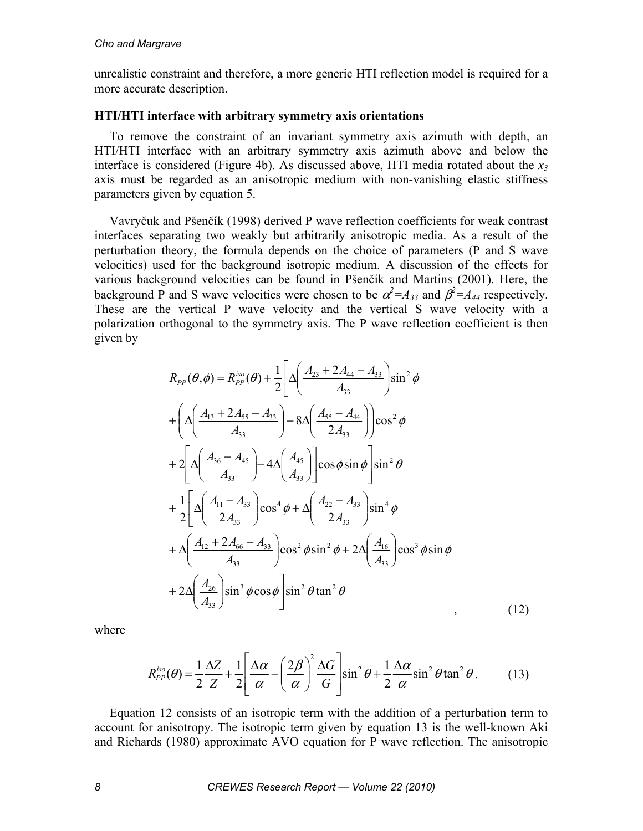unrealistic constraint and therefore, a more generic HTI reflection model is required for a more accurate description.

#### **HTI/HTI interface with arbitrary symmetry axis orientations**

To remove the constraint of an invariant symmetry axis azimuth with depth, an HTI/HTI interface with an arbitrary symmetry axis azimuth above and below the interface is considered (Figure 4b). As discussed above, HTI media rotated about the  $x_3$ axis must be regarded as an anisotropic medium with non-vanishing elastic stiffness parameters given by equation 5.

Vavryčuk and Pšenčík (1998) derived P wave reflection coefficients for weak contrast interfaces separating two weakly but arbitrarily anisotropic media. As a result of the perturbation theory, the formula depends on the choice of parameters (P and S wave velocities) used for the background isotropic medium. A discussion of the effects for various background velocities can be found in Pšenčík and Martins (2001). Here, the background P and S wave velocities were chosen to be  $\alpha^2 = A_{33}$  and  $\beta^2 = A_{44}$  respectively. These are the vertical P wave velocity and the vertical S wave velocity with a polarization orthogonal to the symmetry axis. The P wave reflection coefficient is then given by

$$
R_{PP}(\theta,\phi) = R_{PP}^{iso}(\theta) + \frac{1}{2} \left[ \Delta \left( \frac{A_{23} + 2A_{44} - A_{33}}{A_{33}} \right) \sin^2 \phi + \left( \Delta \left( \frac{A_{13} + 2A_{55} - A_{33}}{A_{33}} \right) - 8\Delta \left( \frac{A_{55} - A_{44}}{2A_{33}} \right) \right) \cos^2 \phi + 2 \left[ \Delta \left( \frac{A_{36} - A_{45}}{A_{33}} \right) - 4\Delta \left( \frac{A_{45}}{A_{33}} \right) \right] \cos \phi \sin \phi \right] \sin^2 \theta + \frac{1}{2} \left[ \Delta \left( \frac{A_{11} - A_{33}}{2A_{33}} \right) \cos^4 \phi + \Delta \left( \frac{A_{22} - A_{33}}{2A_{33}} \right) \sin^4 \phi + \Delta \left( \frac{A_{12} + 2A_{66} - A_{33}}{A_{33}} \right) \cos^2 \phi \sin^2 \phi + 2\Delta \left( \frac{A_{16}}{A_{33}} \right) \cos^3 \phi \sin \phi + 2\Delta \left( \frac{A_{26}}{A_{33}} \right) \sin^3 \phi \cos \phi \right] \sin^2 \theta \tan^2 \theta
$$
\n(12)

where

$$
R_{PP}^{iso}(\theta) = \frac{1}{2} \frac{\Delta Z}{\overline{Z}} + \frac{1}{2} \left[ \frac{\Delta \alpha}{\overline{\alpha}} - \left( \frac{2\overline{\beta}}{\overline{\alpha}} \right)^2 \frac{\Delta G}{\overline{G}} \right] \sin^2 \theta + \frac{1}{2} \frac{\Delta \alpha}{\overline{\alpha}} \sin^2 \theta \tan^2 \theta \,. \tag{13}
$$

Equation 12 consists of an isotropic term with the addition of a perturbation term to account for anisotropy. The isotropic term given by equation 13 is the well-known Aki and Richards (1980) approximate AVO equation for P wave reflection. The anisotropic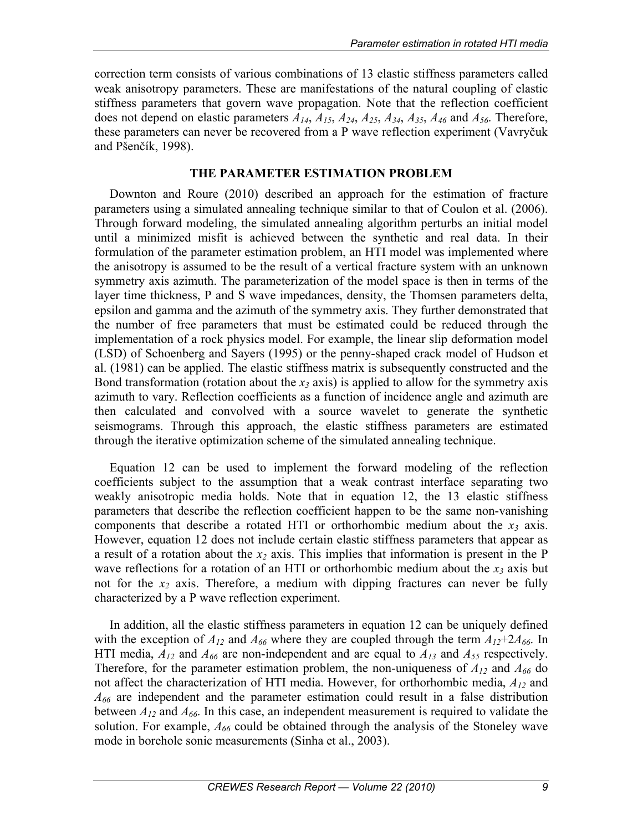correction term consists of various combinations of 13 elastic stiffness parameters called weak anisotropy parameters. These are manifestations of the natural coupling of elastic stiffness parameters that govern wave propagation. Note that the reflection coefficient does not depend on elastic parameters *A14*, *A15*, *A24*, *A25*, *A34*, *A35*, *A46* and *A56*. Therefore, these parameters can never be recovered from a P wave reflection experiment (Vavryčuk and Pšenčík, 1998).

## **THE PARAMETER ESTIMATION PROBLEM**

Downton and Roure (2010) described an approach for the estimation of fracture parameters using a simulated annealing technique similar to that of Coulon et al. (2006). Through forward modeling, the simulated annealing algorithm perturbs an initial model until a minimized misfit is achieved between the synthetic and real data. In their formulation of the parameter estimation problem, an HTI model was implemented where the anisotropy is assumed to be the result of a vertical fracture system with an unknown symmetry axis azimuth. The parameterization of the model space is then in terms of the layer time thickness, P and S wave impedances, density, the Thomsen parameters delta, epsilon and gamma and the azimuth of the symmetry axis. They further demonstrated that the number of free parameters that must be estimated could be reduced through the implementation of a rock physics model. For example, the linear slip deformation model (LSD) of Schoenberg and Sayers (1995) or the penny-shaped crack model of Hudson et al. (1981) can be applied. The elastic stiffness matrix is subsequently constructed and the Bond transformation (rotation about the  $x_3$  axis) is applied to allow for the symmetry axis azimuth to vary. Reflection coefficients as a function of incidence angle and azimuth are then calculated and convolved with a source wavelet to generate the synthetic seismograms. Through this approach, the elastic stiffness parameters are estimated through the iterative optimization scheme of the simulated annealing technique.

Equation 12 can be used to implement the forward modeling of the reflection coefficients subject to the assumption that a weak contrast interface separating two weakly anisotropic media holds. Note that in equation 12, the 13 elastic stiffness parameters that describe the reflection coefficient happen to be the same non-vanishing components that describe a rotated HTI or orthorhombic medium about the  $x_3$  axis. However, equation 12 does not include certain elastic stiffness parameters that appear as a result of a rotation about the  $x_2$  axis. This implies that information is present in the P wave reflections for a rotation of an HTI or orthorhombic medium about the  $x_3$  axis but not for the  $x_2$  axis. Therefore, a medium with dipping fractures can never be fully characterized by a P wave reflection experiment.

In addition, all the elastic stiffness parameters in equation 12 can be uniquely defined with the exception of  $A_{12}$  and  $A_{66}$  where they are coupled through the term  $A_{12}+2A_{66}$ . In HTI media,  $A_{12}$  and  $A_{66}$  are non-independent and are equal to  $A_{13}$  and  $A_{55}$  respectively. Therefore, for the parameter estimation problem, the non-uniqueness of  $A_{12}$  and  $A_{66}$  do not affect the characterization of HTI media. However, for orthorhombic media, *A12* and *A66* are independent and the parameter estimation could result in a false distribution between *A12* and *A66*. In this case, an independent measurement is required to validate the solution. For example, *A66* could be obtained through the analysis of the Stoneley wave mode in borehole sonic measurements (Sinha et al., 2003).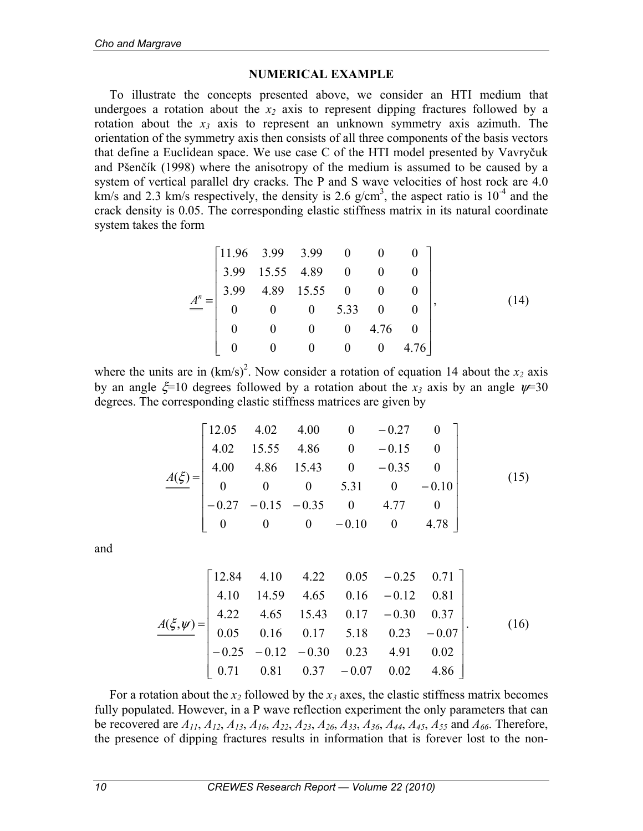### **NUMERICAL EXAMPLE**

To illustrate the concepts presented above, we consider an HTI medium that undergoes a rotation about the  $x_2$  axis to represent dipping fractures followed by a rotation about the  $x_3$  axis to represent an unknown symmetry axis azimuth. The orientation of the symmetry axis then consists of all three components of the basis vectors that define a Euclidean space. We use case C of the HTI model presented by Vavryčuk and Pšenčík (1998) where the anisotropy of the medium is assumed to be caused by a system of vertical parallel dry cracks. The P and S wave velocities of host rock are 4.0 km/s and 2.3 km/s respectively, the density is 2.6  $g/cm<sup>3</sup>$ , the aspect ratio is  $10<sup>-4</sup>$  and the crack density is 0.05. The corresponding elastic stiffness matrix in its natural coordinate system takes the form

$$
\underline{A}^{n} = \begin{bmatrix} 11.96 & 3.99 & 3.99 & 0 & 0 & 0 \\ 3.99 & 15.55 & 4.89 & 0 & 0 & 0 \\ 3.99 & 4.89 & 15.55 & 0 & 0 & 0 \\ 0 & 0 & 0 & 5.33 & 0 & 0 \\ 0 & 0 & 0 & 0 & 4.76 & 0 \\ 0 & 0 & 0 & 0 & 0 & 4.76 \end{bmatrix},
$$
(14)

where the units are in  $(km/s)^2$ . Now consider a rotation of equation 14 about the  $x_2$  axis by an angle  $\zeta = 10$  degrees followed by a rotation about the *x<sub>3</sub>* axis by an angle  $\nu = 30$ degrees. The corresponding elastic stiffness matrices are given by

$$
\underline{A(\xi)} = \begin{bmatrix} 12.05 & 4.02 & 4.00 & 0 & -0.27 & 0 \\ 4.02 & 15.55 & 4.86 & 0 & -0.15 & 0 \\ 4.00 & 4.86 & 15.43 & 0 & -0.35 & 0 \\ 0 & 0 & 0 & 5.31 & 0 & -0.10 \\ -0.27 & -0.15 & -0.35 & 0 & 4.77 & 0 \\ 0 & 0 & 0 & -0.10 & 0 & 4.78 \end{bmatrix}
$$
(15)

and

$$
\underline{A(\xi,\psi)} = \begin{bmatrix} 12.84 & 4.10 & 4.22 & 0.05 & -0.25 & 0.71 \\ 4.10 & 14.59 & 4.65 & 0.16 & -0.12 & 0.81 \\ 4.22 & 4.65 & 15.43 & 0.17 & -0.30 & 0.37 \\ 0.05 & 0.16 & 0.17 & 5.18 & 0.23 & -0.07 \\ -0.25 & -0.12 & -0.30 & 0.23 & 4.91 & 0.02 \\ 0.71 & 0.81 & 0.37 & -0.07 & 0.02 & 4.86 \end{bmatrix}.
$$
 (16)

For a rotation about the  $x_2$  followed by the  $x_3$  axes, the elastic stiffness matrix becomes fully populated. However, in a P wave reflection experiment the only parameters that can be recovered are *A11*, *A12*, *A13*, *A16*, *A22*, *A23*, *A26*, *A33*, *A36*, *A44*, *A45*, *A55* and *A66*. Therefore, the presence of dipping fractures results in information that is forever lost to the non-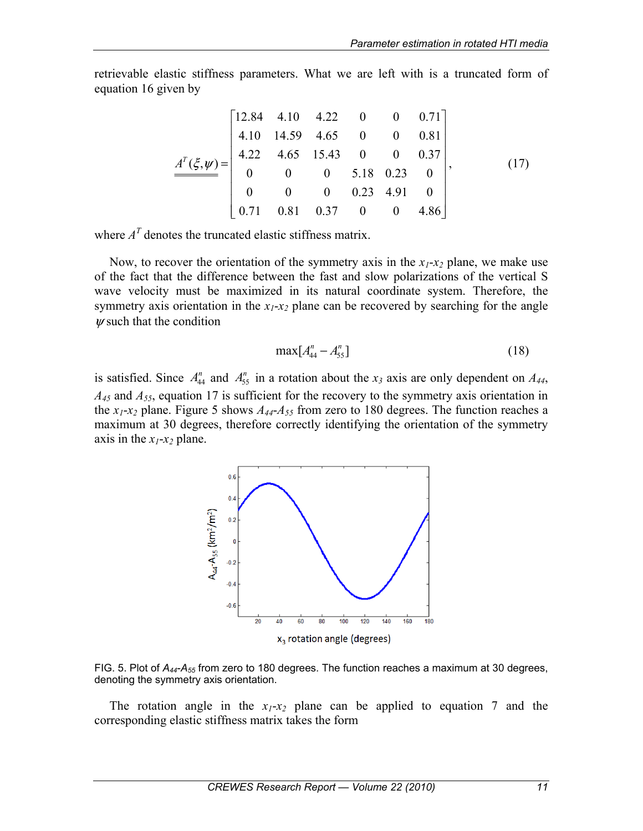retrievable elastic stiffness parameters. What we are left with is a truncated form of equation 16 given by

$$
\underline{A}^T(\xi, \psi) = \begin{bmatrix} 12.84 & 4.10 & 4.22 & 0 & 0 & 0.71 \\ 4.10 & 14.59 & 4.65 & 0 & 0 & 0.81 \\ 4.22 & 4.65 & 15.43 & 0 & 0 & 0.37 \\ 0 & 0 & 0 & 5.18 & 0.23 & 0 \\ 0 & 0 & 0 & 0.23 & 4.91 & 0 \\ 0.71 & 0.81 & 0.37 & 0 & 0 & 4.86 \end{bmatrix},
$$
(17)

where  $A<sup>T</sup>$  denotes the truncated elastic stiffness matrix.

Now, to recover the orientation of the symmetry axis in the  $x_1-x_2$  plane, we make use of the fact that the difference between the fast and slow polarizations of the vertical S wave velocity must be maximized in its natural coordinate system. Therefore, the symmetry axis orientation in the  $x_1$ - $x_2$  plane can be recovered by searching for the angle  *such that the condition* 

$$
\max[A_{44}^n - A_{55}^n] \tag{18}
$$

is satisfied. Since  $A_{44}^n$  and  $A_{55}^n$  in a rotation about the  $x_3$  axis are only dependent on  $A_{44}$ , *A45* and *A55*, equation 17 is sufficient for the recovery to the symmetry axis orientation in the  $x_1$ - $x_2$  plane. Figure 5 shows  $A_{44}$ - $A_{55}$  from zero to 180 degrees. The function reaches a maximum at 30 degrees, therefore correctly identifying the orientation of the symmetry axis in the  $x_1$ - $x_2$  plane.



FIG. 5. Plot of *A44*-*A55* from zero to 180 degrees. The function reaches a maximum at 30 degrees, denoting the symmetry axis orientation.

The rotation angle in the  $x_1-x_2$  plane can be applied to equation 7 and the corresponding elastic stiffness matrix takes the form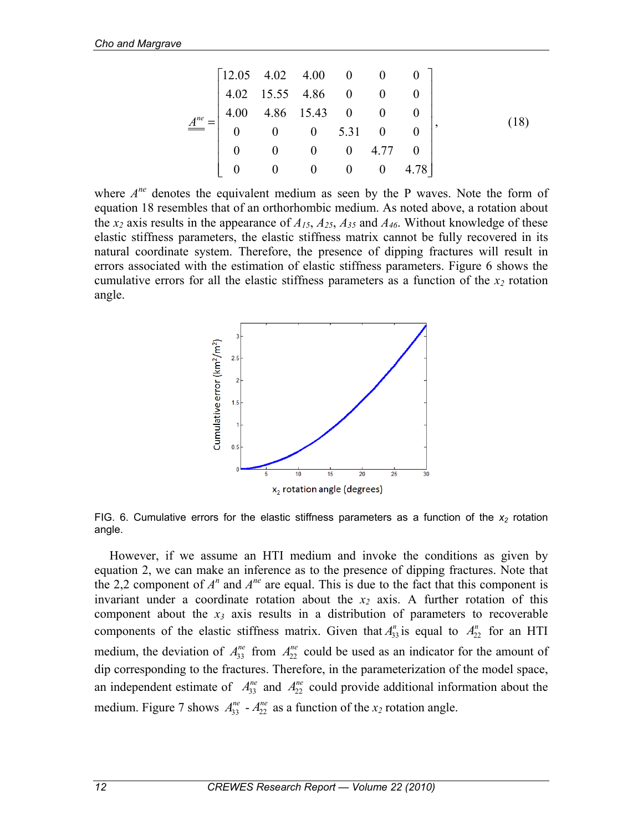$$
\underline{\underline{A}^{ne}} = \begin{bmatrix} 12.05 & 4.02 & 4.00 & 0 & 0 & 0 \\ 4.02 & 15.55 & 4.86 & 0 & 0 & 0 \\ 4.00 & 4.86 & 15.43 & 0 & 0 & 0 \\ 0 & 0 & 0 & 5.31 & 0 & 0 \\ 0 & 0 & 0 & 0 & 4.77 & 0 \\ 0 & 0 & 0 & 0 & 0 & 4.78 \end{bmatrix},\tag{18}
$$

where  $A^{ne}$  denotes the equivalent medium as seen by the P waves. Note the form of equation 18 resembles that of an orthorhombic medium. As noted above, a rotation about the  $x_2$  axis results in the appearance of  $A_{15}$ ,  $A_{25}$ ,  $A_{35}$  and  $A_{46}$ . Without knowledge of these elastic stiffness parameters, the elastic stiffness matrix cannot be fully recovered in its natural coordinate system. Therefore, the presence of dipping fractures will result in errors associated with the estimation of elastic stiffness parameters. Figure 6 shows the cumulative errors for all the elastic stiffness parameters as a function of the  $x_2$  rotation angle.



FIG. 6. Cumulative errors for the elastic stiffness parameters as a function of the  $x_2$  rotation angle.

However, if we assume an HTI medium and invoke the conditions as given by equation 2, we can make an inference as to the presence of dipping fractures. Note that the 2,2 component of  $A^n$  and  $A^{ne}$  are equal. This is due to the fact that this component is invariant under a coordinate rotation about the  $x_2$  axis. A further rotation of this component about the  $x_3$  axis results in a distribution of parameters to recoverable components of the elastic stiffness matrix. Given that  $A_{33}^n$  is equal to  $A_{22}^n$  for an HTI medium, the deviation of  $A_{33}^{ne}$  from  $A_{22}^{ne}$  could be used as an indicator for the amount of dip corresponding to the fractures. Therefore, in the parameterization of the model space, an independent estimate of  $A_{33}^{ne}$  and  $A_{22}^{ne}$  could provide additional information about the medium. Figure 7 shows  $A_{33}^{ne} - A_{22}^{ne}$  as a function of the  $x_2$  rotation angle.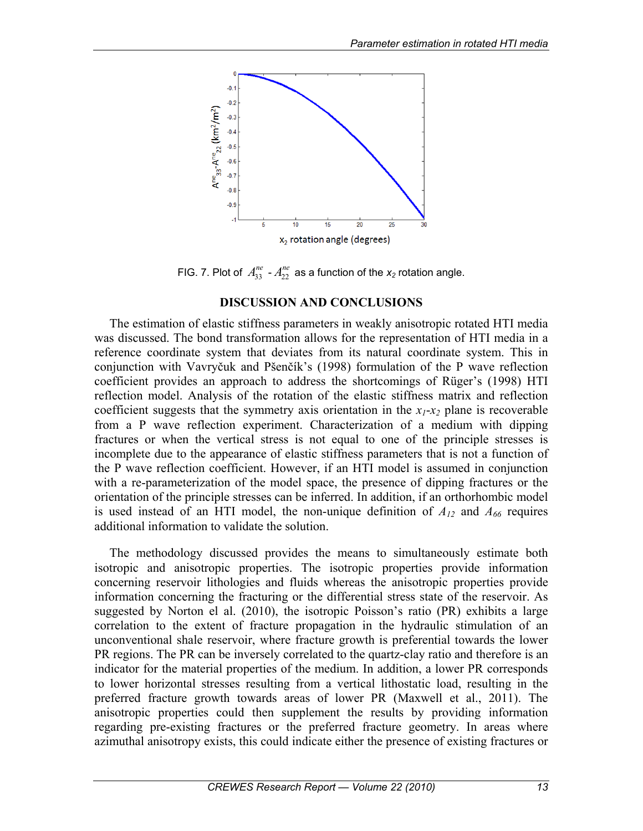

FIG. 7. Plot of  $A_{33}^{ne}$  -  $A_{22}^{ne}$  as a function of the  $x_2$  rotation angle.

### **DISCUSSION AND CONCLUSIONS**

The estimation of elastic stiffness parameters in weakly anisotropic rotated HTI media was discussed. The bond transformation allows for the representation of HTI media in a reference coordinate system that deviates from its natural coordinate system. This in conjunction with Vavryčuk and Pšenčík's (1998) formulation of the P wave reflection coefficient provides an approach to address the shortcomings of Rüger's (1998) HTI reflection model. Analysis of the rotation of the elastic stiffness matrix and reflection coefficient suggests that the symmetry axis orientation in the  $x_1$ - $x_2$  plane is recoverable from a P wave reflection experiment. Characterization of a medium with dipping fractures or when the vertical stress is not equal to one of the principle stresses is incomplete due to the appearance of elastic stiffness parameters that is not a function of the P wave reflection coefficient. However, if an HTI model is assumed in conjunction with a re-parameterization of the model space, the presence of dipping fractures or the orientation of the principle stresses can be inferred. In addition, if an orthorhombic model is used instead of an HTI model, the non-unique definition of  $A_{12}$  and  $A_{66}$  requires additional information to validate the solution.

The methodology discussed provides the means to simultaneously estimate both isotropic and anisotropic properties. The isotropic properties provide information concerning reservoir lithologies and fluids whereas the anisotropic properties provide information concerning the fracturing or the differential stress state of the reservoir. As suggested by Norton el al. (2010), the isotropic Poisson's ratio (PR) exhibits a large correlation to the extent of fracture propagation in the hydraulic stimulation of an unconventional shale reservoir, where fracture growth is preferential towards the lower PR regions. The PR can be inversely correlated to the quartz-clay ratio and therefore is an indicator for the material properties of the medium. In addition, a lower PR corresponds to lower horizontal stresses resulting from a vertical lithostatic load, resulting in the preferred fracture growth towards areas of lower PR (Maxwell et al., 2011). The anisotropic properties could then supplement the results by providing information regarding pre-existing fractures or the preferred fracture geometry. In areas where azimuthal anisotropy exists, this could indicate either the presence of existing fractures or